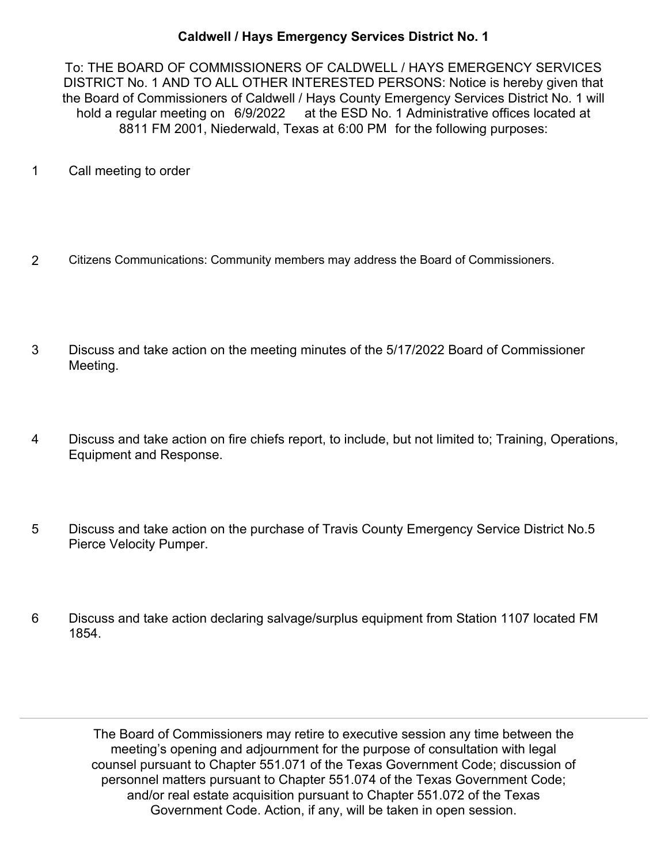## **Caldwell / Hays Emergency Services District No. 1**

To: THE BOARD OF COMMISSIONERS OF CALDWELL / HAYS EMERGENCY SERVICES DISTRICT No. 1 AND TO ALL OTHER INTERESTED PERSONS: Notice is hereby given that the Board of Commissioners of Caldwell / Hays County Emergency Services District No. 1 will hold a regular meeting on 6/9/2022 at the ESD No. 1 Administrative offices located at 8811 FM 2001, Niederwald, Texas at 6:00 PM for the following purposes:

- 1 Call meeting to order
- 2 Citizens Communications: Community members may address the Board of Commissioners.
- Discuss and take action on the meeting minutes of the 5/17/2022 Board of Commissioner Meeting. 3
- Discuss and take action on fire chiefs report, to include, but not limited to; Training, Operations, Equipment and Response. 4
- Discuss and take action on the purchase of Travis County Emergency Service District No.5 Pierce Velocity Pumper. 5
- Discuss and take action declaring salvage/surplus equipment from Station 1107 located FM 1854. 6

The Board of Commissioners may retire to executive session any time between the meeting's opening and adjournment for the purpose of consultation with legal counsel pursuant to Chapter 551.071 of the Texas Government Code; discussion of personnel matters pursuant to Chapter 551.074 of the Texas Government Code; and/or real estate acquisition pursuant to Chapter 551.072 of the Texas Government Code. Action, if any, will be taken in open session.